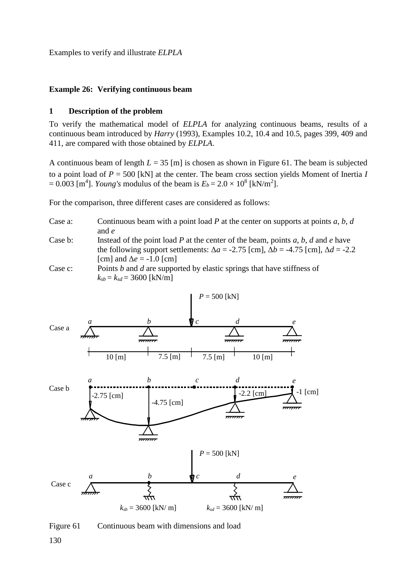Examples to verify and illustrate *ELPLA*

## **Example 26: Verifying continuous beam**

## **1 Description of the problem**

To verify the mathematical model of *ELPLA* for analyzing continuous beams, results of a continuous beam introduced by *Harry* (1993), Examples 10.2, 10.4 and 10.5, pages 399, 409 and 411, are compared with those obtained by *ELPLA*.

A continuous beam of length *L* = 35 [m] is chosen as shown in [Figure 61.](#page-0-0) The beam is subjected to a point load of *P* = 500 [kN] at the center. The beam cross section yields Moment of Inertia *I*  $= 0.003$  [m<sup>4</sup>]. *Young's* modulus of the beam is  $E_b = 2.0 \times 10^8$  [kN/m<sup>2</sup>].

For the comparison, three different cases are considered as follows:

- Case a: Continuous beam with a point load *P* at the center on supports at points *a*, *b*, *d* and *e*
- Case b: Instead of the point load *P* at the center of the beam, points *a*, *b*, *d* and *e* have the following support settlements:  $\Delta a = -2.75$  [cm],  $\Delta b = -4.75$  [cm],  $\Delta d = -2.2$ [cm] and  $\Delta e = -1.0$  [cm]

Case c: Points *b* and *d* are supported by elastic springs that have stiffness of  $k_{sb} = k_{sd} = 3600$  [kN/m]



<span id="page-0-0"></span>Figure 61 Continuous beam with dimensions and load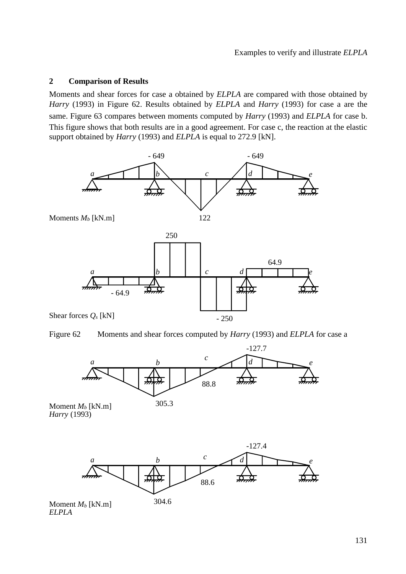## **2 Comparison of Results**

Moments and shear forces for case a obtained by *ELPLA* are compared with those obtained by *Harry* (1993) in [Figure 62.](#page-1-0) Results obtained by *ELPLA* and *Harry* (1993) for case a are the same. [Figure 63](#page-2-0) compares between moments computed by *Harry* (1993) and *ELPLA* for case b. This figure shows that both results are in a good agreement. For case c, the reaction at the elastic support obtained by *Harry* (1993) and *ELPLA* is equal to 272.9 [kN].



<span id="page-1-0"></span>



Moment  $M_b$  [kN.m]  $305.3$ *Harry* (1993)